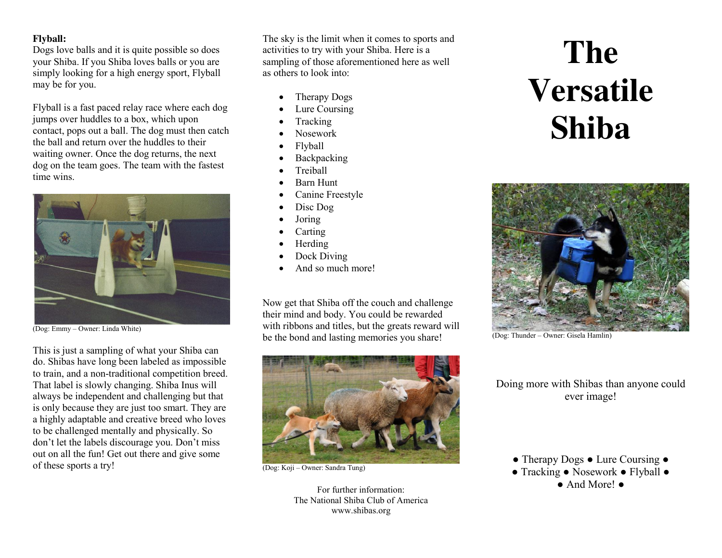## **Flyball:**

Dogs love balls and it is quite possible so does your Shiba. If you Shiba loves balls or you are simply looking for a high energy sport, Flyball may be for you.

Flyball is a fast paced relay race where each dog jumps over huddles to a box, which upon contact, pops out a ball. The dog must then catch the ball and return over the huddles to their waiting owner. Once the dog returns, the next dog on the team goes. The team with the fastest time wins.



(Dog: Emmy – Owner: Linda White)

This is just a sampling of what your Shiba can do. Shibas have long been labeled as impossible to train, and a non-traditional competition breed. That label is slowly changing. Shiba Inus will always be independent and challenging but that is only because they are just too smart. They are a highly adaptable and creative breed who loves to be challenged mentally and physically. So don't let the labels discourage you. Don't miss out on all the fun! Get out there and give some of these sports a try!

The sky is the limit when it comes to sports and activities to try with your Shiba. Here is a sampling of those aforementioned here as well as others to look into:

- Therapy Dogs
- Lure Coursing
- **Tracking**
- Nosework
- **Flyball**
- **Backpacking**
- **Treiball**
- Barn Hunt
- Canine Freestyle
- $\bullet$  Disc Dog
- **Joring**
- **Carting**
- **Herding**
- Dock Diving
- And so much more!

Now get that Shiba off the couch and challenge their mind and body. You could be rewarded with ribbons and titles, but the greats reward will be the bond and lasting memories you share!



(Dog: Koji – Owner: Sandra Tung)

For further information: The National Shiba Club of America www.shibas.org

# **The Versatile Shiba**



(Dog: Thunder – Owner: Gisela Hamlin)

Doing more with Shibas than anyone could ever image!

● Tracking ● Nosework ● Flyball ● ● And More! ●

<sup>●</sup> Therapy Dogs ● Lure Coursing ●